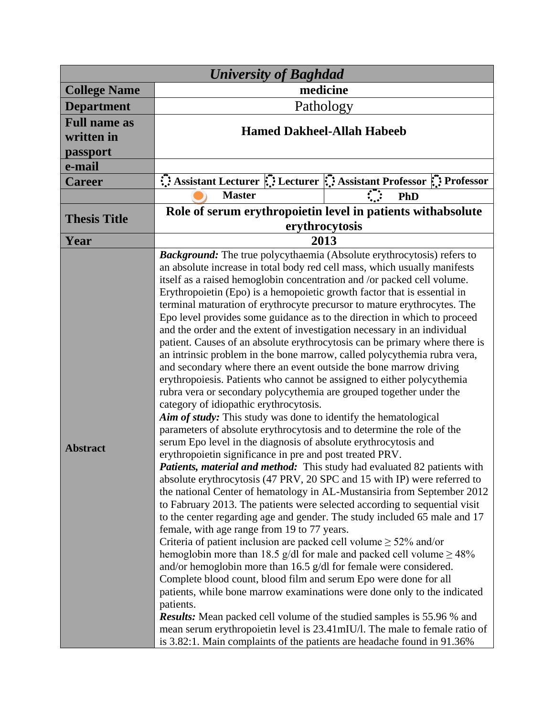| <b>University of Baghdad</b> |                                                                                                                                                                                                                                                                                                                                                                                                                                                                                                                                                                                                                                                                                                                                                                                                                                                                                                                                                                                                                                                                                                                                                                                                                                                                                                                                                                                                                                                                                                                                                                                                                                                                                                                                                                                                                                                                                                                                                                                                                                                                                                                                                                                        |                                                                 |
|------------------------------|----------------------------------------------------------------------------------------------------------------------------------------------------------------------------------------------------------------------------------------------------------------------------------------------------------------------------------------------------------------------------------------------------------------------------------------------------------------------------------------------------------------------------------------------------------------------------------------------------------------------------------------------------------------------------------------------------------------------------------------------------------------------------------------------------------------------------------------------------------------------------------------------------------------------------------------------------------------------------------------------------------------------------------------------------------------------------------------------------------------------------------------------------------------------------------------------------------------------------------------------------------------------------------------------------------------------------------------------------------------------------------------------------------------------------------------------------------------------------------------------------------------------------------------------------------------------------------------------------------------------------------------------------------------------------------------------------------------------------------------------------------------------------------------------------------------------------------------------------------------------------------------------------------------------------------------------------------------------------------------------------------------------------------------------------------------------------------------------------------------------------------------------------------------------------------------|-----------------------------------------------------------------|
| <b>College Name</b>          | medicine                                                                                                                                                                                                                                                                                                                                                                                                                                                                                                                                                                                                                                                                                                                                                                                                                                                                                                                                                                                                                                                                                                                                                                                                                                                                                                                                                                                                                                                                                                                                                                                                                                                                                                                                                                                                                                                                                                                                                                                                                                                                                                                                                                               |                                                                 |
| <b>Department</b>            | Pathology                                                                                                                                                                                                                                                                                                                                                                                                                                                                                                                                                                                                                                                                                                                                                                                                                                                                                                                                                                                                                                                                                                                                                                                                                                                                                                                                                                                                                                                                                                                                                                                                                                                                                                                                                                                                                                                                                                                                                                                                                                                                                                                                                                              |                                                                 |
| <b>Full name as</b>          |                                                                                                                                                                                                                                                                                                                                                                                                                                                                                                                                                                                                                                                                                                                                                                                                                                                                                                                                                                                                                                                                                                                                                                                                                                                                                                                                                                                                                                                                                                                                                                                                                                                                                                                                                                                                                                                                                                                                                                                                                                                                                                                                                                                        |                                                                 |
| written in                   | <b>Hamed Dakheel-Allah Habeeb</b>                                                                                                                                                                                                                                                                                                                                                                                                                                                                                                                                                                                                                                                                                                                                                                                                                                                                                                                                                                                                                                                                                                                                                                                                                                                                                                                                                                                                                                                                                                                                                                                                                                                                                                                                                                                                                                                                                                                                                                                                                                                                                                                                                      |                                                                 |
| passport                     |                                                                                                                                                                                                                                                                                                                                                                                                                                                                                                                                                                                                                                                                                                                                                                                                                                                                                                                                                                                                                                                                                                                                                                                                                                                                                                                                                                                                                                                                                                                                                                                                                                                                                                                                                                                                                                                                                                                                                                                                                                                                                                                                                                                        |                                                                 |
| e-mail                       |                                                                                                                                                                                                                                                                                                                                                                                                                                                                                                                                                                                                                                                                                                                                                                                                                                                                                                                                                                                                                                                                                                                                                                                                                                                                                                                                                                                                                                                                                                                                                                                                                                                                                                                                                                                                                                                                                                                                                                                                                                                                                                                                                                                        |                                                                 |
| <b>Career</b>                |                                                                                                                                                                                                                                                                                                                                                                                                                                                                                                                                                                                                                                                                                                                                                                                                                                                                                                                                                                                                                                                                                                                                                                                                                                                                                                                                                                                                                                                                                                                                                                                                                                                                                                                                                                                                                                                                                                                                                                                                                                                                                                                                                                                        | Assistant Lecturer : Lecturer : Assistant Professor : Professor |
|                              | <b>Master</b>                                                                                                                                                                                                                                                                                                                                                                                                                                                                                                                                                                                                                                                                                                                                                                                                                                                                                                                                                                                                                                                                                                                                                                                                                                                                                                                                                                                                                                                                                                                                                                                                                                                                                                                                                                                                                                                                                                                                                                                                                                                                                                                                                                          | $\mathcal{L}$<br>PhD                                            |
| <b>Thesis Title</b>          | Role of serum erythropoietin level in patients with absolute                                                                                                                                                                                                                                                                                                                                                                                                                                                                                                                                                                                                                                                                                                                                                                                                                                                                                                                                                                                                                                                                                                                                                                                                                                                                                                                                                                                                                                                                                                                                                                                                                                                                                                                                                                                                                                                                                                                                                                                                                                                                                                                           |                                                                 |
|                              | erythrocytosis                                                                                                                                                                                                                                                                                                                                                                                                                                                                                                                                                                                                                                                                                                                                                                                                                                                                                                                                                                                                                                                                                                                                                                                                                                                                                                                                                                                                                                                                                                                                                                                                                                                                                                                                                                                                                                                                                                                                                                                                                                                                                                                                                                         |                                                                 |
| Year                         | 2013                                                                                                                                                                                                                                                                                                                                                                                                                                                                                                                                                                                                                                                                                                                                                                                                                                                                                                                                                                                                                                                                                                                                                                                                                                                                                                                                                                                                                                                                                                                                                                                                                                                                                                                                                                                                                                                                                                                                                                                                                                                                                                                                                                                   |                                                                 |
| <b>Abstract</b>              | <b>Background:</b> The true polycythaemia (Absolute erythrocytosis) refers to<br>an absolute increase in total body red cell mass, which usually manifests<br>itself as a raised hemoglobin concentration and /or packed cell volume.<br>Erythropoietin (Epo) is a hemopoietic growth factor that is essential in<br>terminal maturation of erythrocyte precursor to mature erythrocytes. The<br>Epo level provides some guidance as to the direction in which to proceed<br>and the order and the extent of investigation necessary in an individual<br>patient. Causes of an absolute erythrocytosis can be primary where there is<br>an intrinsic problem in the bone marrow, called polycythemia rubra vera,<br>and secondary where there an event outside the bone marrow driving<br>erythropoiesis. Patients who cannot be assigned to either polycythemia<br>rubra vera or secondary polycythemia are grouped together under the<br>category of idiopathic erythrocytosis.<br>Aim of study: This study was done to identify the hematological<br>parameters of absolute erythrocytosis and to determine the role of the<br>serum Epo level in the diagnosis of absolute erythrocytosis and<br>erythropoietin significance in pre and post treated PRV.<br>Patients, material and method: This study had evaluated 82 patients with<br>absolute erythrocytosis (47 PRV, 20 SPC and 15 with IP) were referred to<br>the national Center of hematology in AL-Mustansiria from September 2012<br>to Fabruary 2013. The patients were selected according to sequential visit<br>to the center regarding age and gender. The study included 65 male and 17<br>female, with age range from 19 to 77 years.<br>Criteria of patient inclusion are packed cell volume $\geq$ 52% and/or<br>hemoglobin more than 18.5 g/dl for male and packed cell volume $\geq$ 48%<br>and/or hemoglobin more than 16.5 $g/dl$ for female were considered.<br>Complete blood count, blood film and serum Epo were done for all<br>patients, while bone marrow examinations were done only to the indicated<br>patients.<br><b>Results:</b> Mean packed cell volume of the studied samples is 55.96 % and |                                                                 |